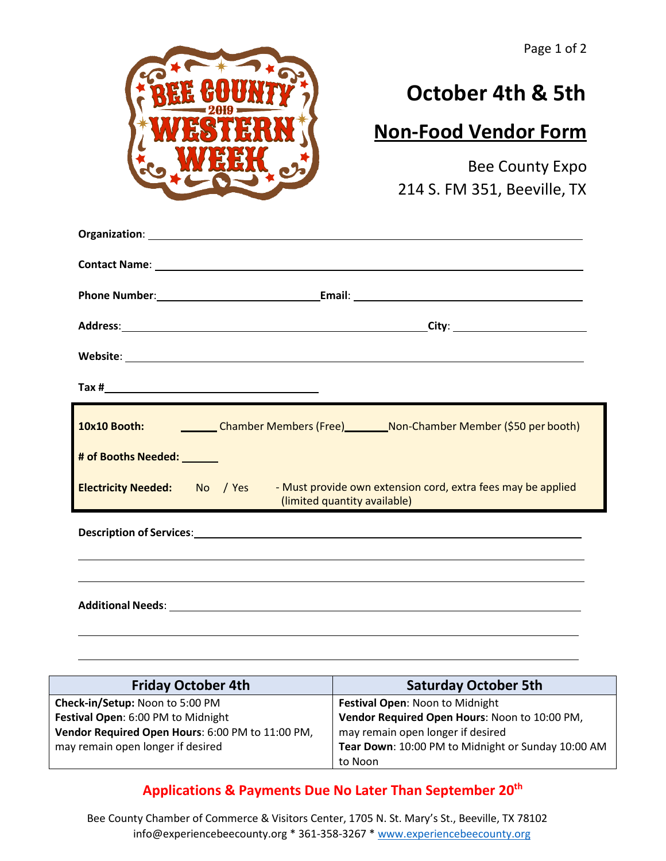

## **October 4th & 5th**

## **Non-Food Vendor Form**

Bee County Expo 214 S. FM 351, Beeville, TX

|                            | 10x10 Booth: Chamber Members (Free) _________ Non-Chamber Member (\$50 per booth)                                         |
|----------------------------|---------------------------------------------------------------------------------------------------------------------------|
| # of Booths Needed: ______ |                                                                                                                           |
|                            | Electricity Needed: No / Yes - Must provide own extension cord, extra fees may be applied<br>(limited quantity available) |
|                            |                                                                                                                           |
|                            |                                                                                                                           |
|                            |                                                                                                                           |

| <b>Friday October 4th</b>                        | <b>Saturday October 5th</b>                        |
|--------------------------------------------------|----------------------------------------------------|
| Check-in/Setup: Noon to 5:00 PM                  | Festival Open: Noon to Midnight                    |
| Festival Open: 6:00 PM to Midnight               | Vendor Required Open Hours: Noon to 10:00 PM,      |
| Vendor Required Open Hours: 6:00 PM to 11:00 PM, | may remain open longer if desired                  |
| may remain open longer if desired                | Tear Down: 10:00 PM to Midnight or Sunday 10:00 AM |
|                                                  | to Noon                                            |

## **Applications & Payments Due No Later Than September 20th**

Bee County Chamber of Commerce & Visitors Center, 1705 N. St. Mary's St., Beeville, TX 78102 [info@experiencebeecounty.org \\*](mailto:info@experiencebeecounty.org) [361-358-3267 \\* www.experiencebeecounty.org](http://www.experiencebeecounty.org/)